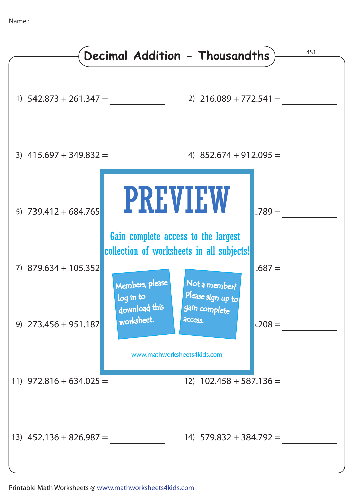